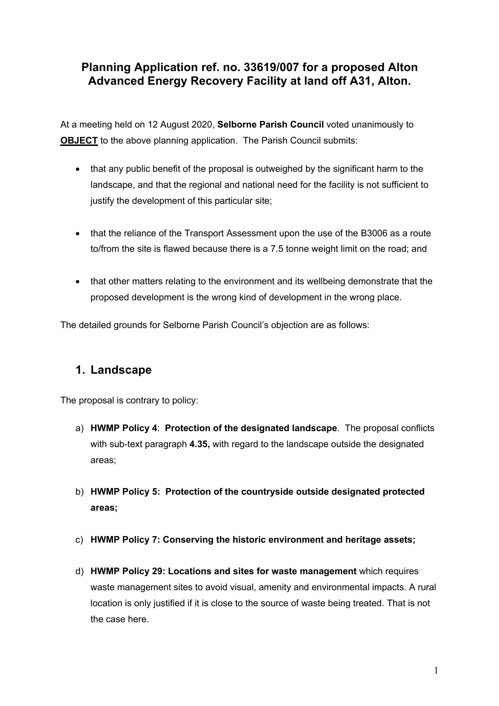# **Planning Application ref. no. 33619/007 for a proposed Alton Advanced Energy Recovery Facility at land off A31, Alton.**

At a meeting held on 12 August 2020, **Selborne Parish Council** voted unanimously to **OBJECT** to the above planning application. The Parish Council submits:

- that any public benefit of the proposal is outweighed by the significant harm to the landscape, and that the regional and national need for the facility is not sufficient to justify the development of this particular site:
- that the reliance of the Transport Assessment upon the use of the B3006 as a route to/from the site is flawed because there is a 7.5 tonne weight limit on the road; and
- that other matters relating to the environment and its wellbeing demonstrate that the proposed development is the wrong kind of development in the wrong place.

The detailed grounds for Selborne Parish Council's objection are as follows:

## **1. Landscape**

The proposal is contrary to policy:

- a) **HWMP Policy 4**: **Protection of the designated landscape**. The proposal conflicts with sub-text paragraph **4.35,** with regard to the landscape outside the designated areas;
- b) **HWMP Policy 5: Protection of the countryside outside designated protected areas;**
- c) **HWMP Policy 7: Conserving the historic environment and heritage assets;**
- d) **HWMP Policy 29: Locations and sites for waste management** which requires waste management sites to avoid visual, amenity and environmental impacts. A rural location is only justified if it is close to the source of waste being treated. That is not the case here.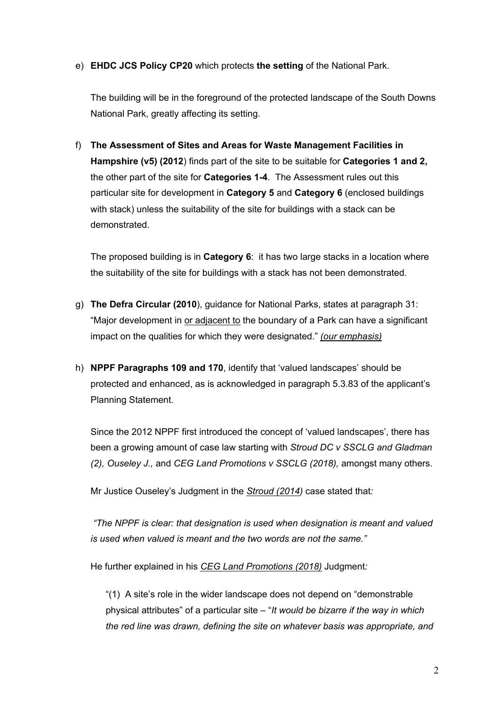#### e) **EHDC JCS Policy CP20** which protects **the setting** of the National Park.

The building will be in the foreground of the protected landscape of the South Downs National Park, greatly affecting its setting.

f) **The Assessment of Sites and Areas for Waste Management Facilities in Hampshire (v5) (2012**) finds part of the site to be suitable for **Categories 1 and 2,** the other part of the site for **Categories 1-4**. The Assessment rules out this particular site for development in **Category 5** and **Category 6** (enclosed buildings with stack) unless the suitability of the site for buildings with a stack can be demonstrated.

The proposed building is in **Category 6**: it has two large stacks in a location where the suitability of the site for buildings with a stack has not been demonstrated.

- g) **The Defra Circular (2010**), guidance for National Parks, states at paragraph 31: "Major development in or adjacent to the boundary of a Park can have a significant impact on the qualities for which they were designated." *(our emphasis)*
- h) **NPPF Paragraphs 109 and 170**, identify that 'valued landscapes' should be protected and enhanced, as is acknowledged in paragraph 5.3.83 of the applicant's Planning Statement.

Since the 2012 NPPF first introduced the concept of 'valued landscapes', there has been a growing amount of case law starting with *Stroud DC v SSCLG and Gladman (2), Ouseley J.,* and *CEG Land Promotions v SSCLG (2018),* amongst many others.

Mr Justice Ouseley's Judgment in the *Stroud (2014)* case stated that*:*

*"The NPPF is clear: that designation is used when designation is meant and valued is used when valued is meant and the two words are not the same."*

He further explained in his *CEG Land Promotions (2018)* Judgment*:*

"(1) A site's role in the wider landscape does not depend on "demonstrable physical attributes" of a particular site – "*It would be bizarre if the way in which the red line was drawn, defining the site on whatever basis was appropriate, and*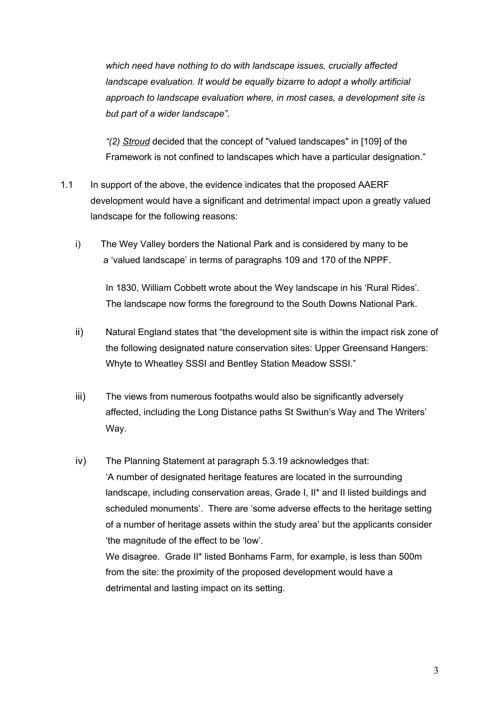*which need have nothing to do with landscape issues, crucially affected landscape evaluation. It would be equally bizarre to adopt a wholly artificial approach to landscape evaluation where, in most cases, a development site is but part of a wider landscape"*.

*"(2) Stroud* decided that the concept of "valued landscapes" in [109] of the Framework is not confined to landscapes which have a particular designation."

- 1.1 In support of the above, the evidence indicates that the proposed AAERF development would have a significant and detrimental impact upon a greatly valued landscape for the following reasons:
	- i) The Wey Valley borders the National Park and is considered by many to be a 'valued landscape' in terms of paragraphs 109 and 170 of the NPPF.

In 1830, William Cobbett wrote about the Wey landscape in his 'Rural Rides'. The landscape now forms the foreground to the South Downs National Park.

- ii) Natural England states that "the development site is within the impact risk zone of the following designated nature conservation sites: Upper Greensand Hangers: Whyte to Wheatley SSSI and Bentley Station Meadow SSSI."
- iii) The views from numerous footpaths would also be significantly adversely affected, including the Long Distance paths St Swithun's Way and The Writers' Way.
- iv) The Planning Statement at paragraph 5.3.19 acknowledges that: 'A number of designated heritage features are located in the surrounding landscape, including conservation areas, Grade I, II\* and II listed buildings and scheduled monuments'. There are 'some adverse effects to the heritage setting of a number of heritage assets within the study area' but the applicants consider 'the magnitude of the effect to be 'low'.

We disagree. Grade II\* listed Bonhams Farm, for example, is less than 500m from the site: the proximity of the proposed development would have a detrimental and lasting impact on its setting.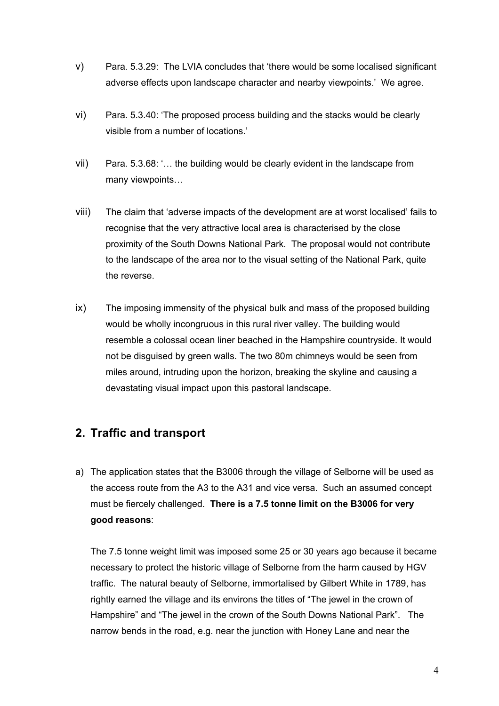- v) Para. 5.3.29: The LVIA concludes that 'there would be some localised significant adverse effects upon landscape character and nearby viewpoints.' We agree.
- vi) Para. 5.3.40: 'The proposed process building and the stacks would be clearly visible from a number of locations.'
- vii) Para. 5.3.68: '… the building would be clearly evident in the landscape from many viewpoints…
- viii) The claim that 'adverse impacts of the development are at worst localised' fails to recognise that the very attractive local area is characterised by the close proximity of the South Downs National Park. The proposal would not contribute to the landscape of the area nor to the visual setting of the National Park, quite the reverse.
- ix) The imposing immensity of the physical bulk and mass of the proposed building would be wholly incongruous in this rural river valley. The building would resemble a colossal ocean liner beached in the Hampshire countryside. It would not be disguised by green walls. The two 80m chimneys would be seen from miles around, intruding upon the horizon, breaking the skyline and causing a devastating visual impact upon this pastoral landscape.

# **2. Traffic and transport**

a) The application states that the B3006 through the village of Selborne will be used as the access route from the A3 to the A31 and vice versa. Such an assumed concept must be fiercely challenged. **There is a 7.5 tonne limit on the B3006 for very good reasons**:

The 7.5 tonne weight limit was imposed some 25 or 30 years ago because it became necessary to protect the historic village of Selborne from the harm caused by HGV traffic. The natural beauty of Selborne, immortalised by Gilbert White in 1789, has rightly earned the village and its environs the titles of "The jewel in the crown of Hampshire" and "The jewel in the crown of the South Downs National Park". The narrow bends in the road, e.g. near the junction with Honey Lane and near the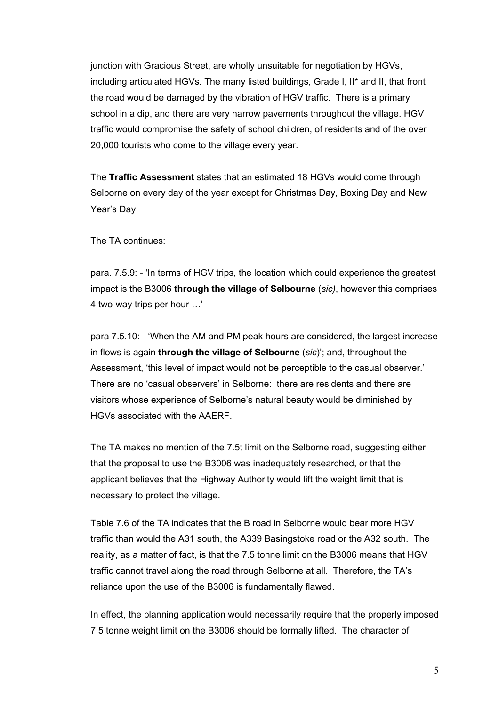junction with Gracious Street, are wholly unsuitable for negotiation by HGVs, including articulated HGVs. The many listed buildings, Grade I, II\* and II, that front the road would be damaged by the vibration of HGV traffic. There is a primary school in a dip, and there are very narrow pavements throughout the village. HGV traffic would compromise the safety of school children, of residents and of the over 20,000 tourists who come to the village every year.

The **Traffic Assessment** states that an estimated 18 HGVs would come through Selborne on every day of the year except for Christmas Day, Boxing Day and New Year's Day.

The TA continues:

para. 7.5.9: - 'In terms of HGV trips, the location which could experience the greatest impact is the B3006 **through the village of Selbourne** (*sic)*, however this comprises 4 two-way trips per hour …'

para 7.5.10: - 'When the AM and PM peak hours are considered, the largest increase in flows is again **through the village of Selbourne** (*sic*)'; and, throughout the Assessment, 'this level of impact would not be perceptible to the casual observer.' There are no 'casual observers' in Selborne: there are residents and there are visitors whose experience of Selborne's natural beauty would be diminished by HGVs associated with the AAERF.

The TA makes no mention of the 7.5t limit on the Selborne road, suggesting either that the proposal to use the B3006 was inadequately researched, or that the applicant believes that the Highway Authority would lift the weight limit that is necessary to protect the village.

Table 7.6 of the TA indicates that the B road in Selborne would bear more HGV traffic than would the A31 south, the A339 Basingstoke road or the A32 south. The reality, as a matter of fact, is that the 7.5 tonne limit on the B3006 means that HGV traffic cannot travel along the road through Selborne at all. Therefore, the TA's reliance upon the use of the B3006 is fundamentally flawed.

In effect, the planning application would necessarily require that the properly imposed 7.5 tonne weight limit on the B3006 should be formally lifted. The character of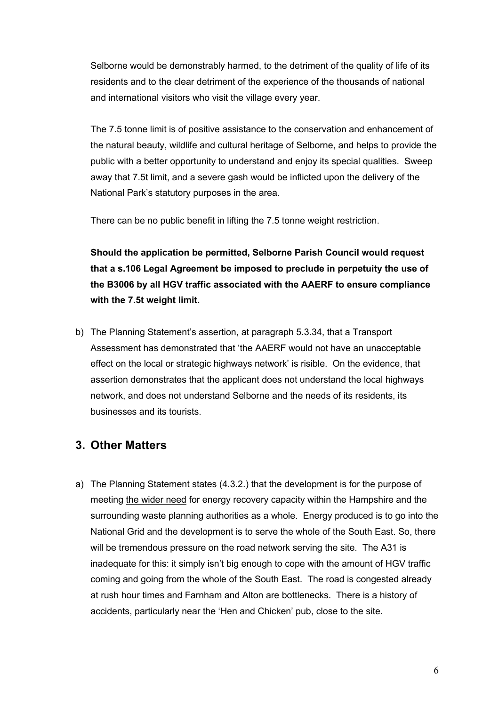Selborne would be demonstrably harmed, to the detriment of the quality of life of its residents and to the clear detriment of the experience of the thousands of national and international visitors who visit the village every year.

The 7.5 tonne limit is of positive assistance to the conservation and enhancement of the natural beauty, wildlife and cultural heritage of Selborne, and helps to provide the public with a better opportunity to understand and enjoy its special qualities. Sweep away that 7.5t limit, and a severe gash would be inflicted upon the delivery of the National Park's statutory purposes in the area.

There can be no public benefit in lifting the 7.5 tonne weight restriction.

**Should the application be permitted, Selborne Parish Council would request that a s.106 Legal Agreement be imposed to preclude in perpetuity the use of the B3006 by all HGV traffic associated with the AAERF to ensure compliance with the 7.5t weight limit.**

b) The Planning Statement's assertion, at paragraph 5.3.34, that a Transport Assessment has demonstrated that 'the AAERF would not have an unacceptable effect on the local or strategic highways network' is risible. On the evidence, that assertion demonstrates that the applicant does not understand the local highways network, and does not understand Selborne and the needs of its residents, its businesses and its tourists.

## **3. Other Matters**

a) The Planning Statement states (4.3.2.) that the development is for the purpose of meeting the wider need for energy recovery capacity within the Hampshire and the surrounding waste planning authorities as a whole. Energy produced is to go into the National Grid and the development is to serve the whole of the South East. So, there will be tremendous pressure on the road network serving the site. The A31 is inadequate for this: it simply isn't big enough to cope with the amount of HGV traffic coming and going from the whole of the South East. The road is congested already at rush hour times and Farnham and Alton are bottlenecks. There is a history of accidents, particularly near the 'Hen and Chicken' pub, close to the site.